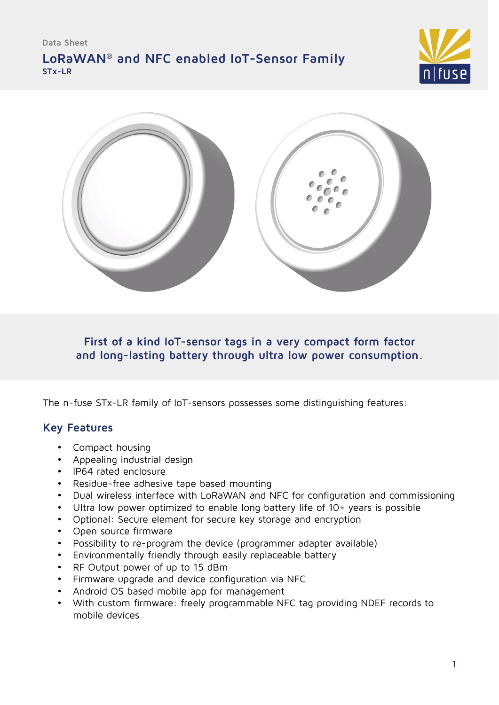# **LoRaWAN® and NFC enabled IoT-Sensor Family STx-LR**





**First of a kind IoT-sensor tags in a very compact form factor and long-lasting battery through ultra low power consumption.**

The n-fuse STx-LR family of IoT-sensors possesses some distinguishing features:

### **Key Features**

- Compact housing
- Appealing industrial design
- IP64 rated enclosure
- Residue-free adhesive tape based mounting
- Dual wireless interface with LoRaWAN and NFC for configuration and commissioning
- Ultra low power optimized to enable long battery life of 10+ years is possible
- Optional: Secure element for secure key storage and encryption
- Open source firmware
- Possibility to re-program the device (programmer adapter available)
- Environmentally friendly through easily replaceable battery
- RF Output power of up to 15 dBm
- Firmware upgrade and device configuration via NFC
- Android OS based mobile app for management
- With custom firmware: freely programmable NFC tag providing NDEF records to mobile devices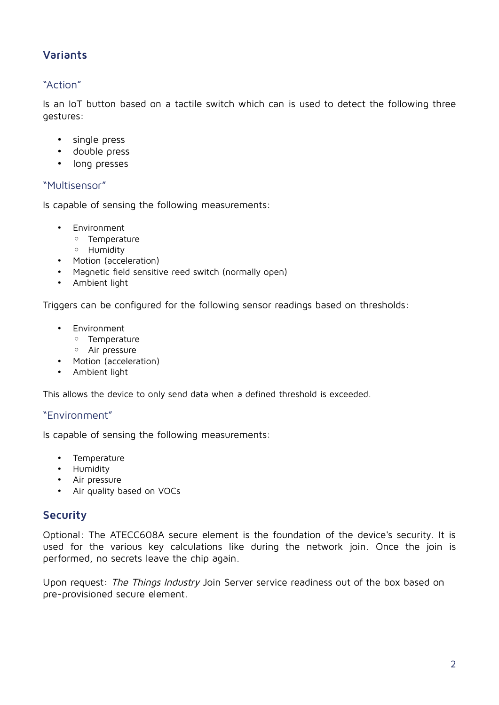# **Variants**

### "Action"

Is an IoT button based on a tactile switch which can is used to detect the following three gestures:

- single press
- double press
- long presses

### "Multisensor"

Is capable of sensing the following measurements:

- Environment
	- Temperature
	- Humidity
- Motion (acceleration)
- Magnetic field sensitive reed switch (normally open)
- Ambient light

Triggers can be configured for the following sensor readings based on thresholds:

- Environment
	- Temperature
	- Air pressure
- Motion (acceleration)
- Ambient light

This allows the device to only send data when a defined threshold is exceeded.

### "Environment"

Is capable of sensing the following measurements:

- Temperature
- Humidity
- Air pressure
- Air quality based on VOCs

### **Security**

Optional: The ATECC608A secure element is the foundation of the device's security. It is used for the various key calculations like during the network join. Once the join is performed, no secrets leave the chip again.

Upon request: The Things Industry Join Server service readiness out of the box based on pre-provisioned secure element.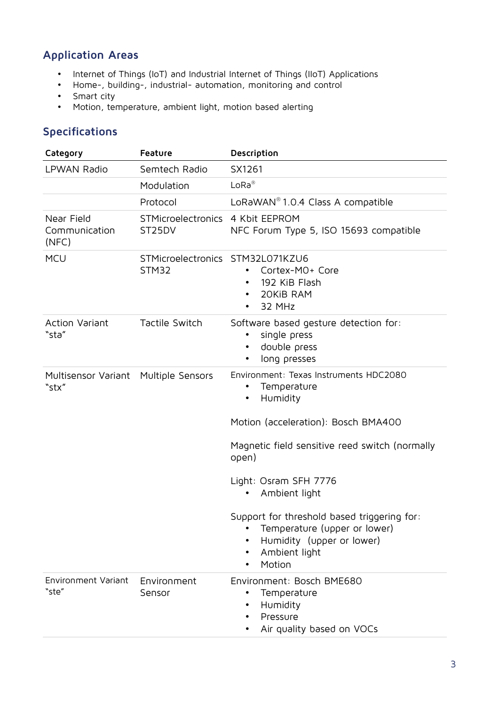# **Application Areas**

- Internet of Things (IoT) and Industrial Internet of Things (IIoT) Applications
- Home-, building-, industrial- automation, monitoring and control
- Smart city
- Motion, temperature, ambient light, motion based alerting

# **Specifications**

| Category                             | Feature                                   | Description                                                                                                                                                                                                                                                                                                                                                    |
|--------------------------------------|-------------------------------------------|----------------------------------------------------------------------------------------------------------------------------------------------------------------------------------------------------------------------------------------------------------------------------------------------------------------------------------------------------------------|
| LPWAN Radio                          | Semtech Radio                             | SX1261                                                                                                                                                                                                                                                                                                                                                         |
|                                      | Modulation                                | $LoRa^{\circledR}$                                                                                                                                                                                                                                                                                                                                             |
|                                      | Protocol                                  | LoRaWAN <sup>®</sup> 1.0.4 Class A compatible                                                                                                                                                                                                                                                                                                                  |
| Near Field<br>Communication<br>(NFC) | STMicroelectronics<br>ST25DV              | 4 Kbit EEPROM<br>NFC Forum Type 5, ISO 15693 compatible                                                                                                                                                                                                                                                                                                        |
| <b>MCU</b>                           | STMicroelectronics STM32L071KZU6<br>STM32 | Cortex-MO+ Core<br>$\bullet$<br>192 KiB Flash<br>20KiB RAM<br>٠<br>32 MHz<br>$\bullet$                                                                                                                                                                                                                                                                         |
| Action Variant<br>"sta"              | Tactile Switch                            | Software based gesture detection for:<br>single press<br>double press<br>$\bullet$<br>long presses                                                                                                                                                                                                                                                             |
| Multisensor Variant<br>"stx"         | Multiple Sensors                          | Environment: Texas Instruments HDC2080<br>Temperature<br>٠<br>Humidity<br>٠<br>Motion (acceleration): Bosch BMA400<br>Magnetic field sensitive reed switch (normally<br>open)<br>Light: Osram SFH 7776<br>Ambient light<br>Support for threshold based triggering for:<br>Temperature (upper or lower)<br>Humidity (upper or lower)<br>Ambient light<br>Motion |
| <b>Environment Variant</b><br>"ste"  | Environment<br>Sensor                     | Environment: Bosch BME680<br>Temperature<br>٠<br>Humidity<br>Pressure<br>Air quality based on VOCs                                                                                                                                                                                                                                                             |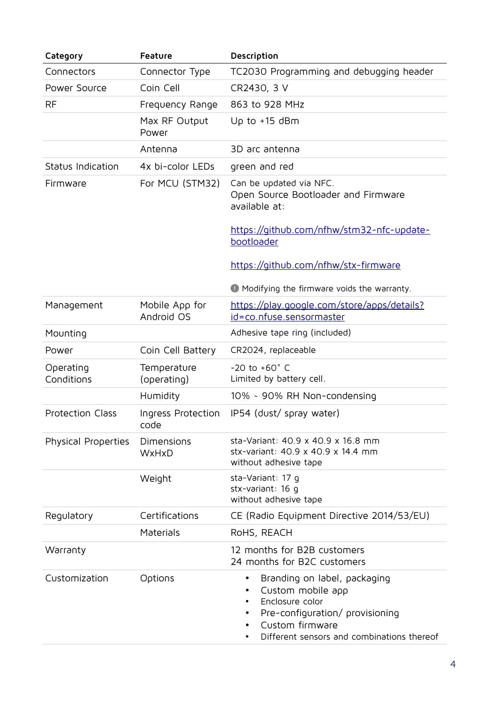| Category                   | Feature                      | Description                                                                                                                                                                                          |
|----------------------------|------------------------------|------------------------------------------------------------------------------------------------------------------------------------------------------------------------------------------------------|
| Connectors                 | Connector Type               | TC2030 Programming and debugging header                                                                                                                                                              |
| Power Source               | Coin Cell                    | CR2430, 3 V                                                                                                                                                                                          |
| <b>RF</b>                  | Frequency Range              | 863 to 928 MHz                                                                                                                                                                                       |
|                            | Max RF Output<br>Power       | Up to $+15$ dBm                                                                                                                                                                                      |
|                            | Antenna                      | 3D arc antenna                                                                                                                                                                                       |
| Status Indication          | 4x bi-color LEDs             | green and red                                                                                                                                                                                        |
| Firmware                   | For MCU (STM32)              | Can be updated via NFC.<br>Open Source Bootloader and Firmware<br>available at:                                                                                                                      |
|                            |                              | https://github.com/nfhw/stm32-nfc-update-<br>bootloader                                                                                                                                              |
|                            |                              | https://github.com/nfhw/stx-firmware                                                                                                                                                                 |
|                            |                              | <b>A</b> Modifying the firmware voids the warranty.                                                                                                                                                  |
| Management                 | Mobile App for<br>Android OS | https://play.google.com/store/apps/details?<br>id=co.nfuse.sensormaster                                                                                                                              |
| Mounting                   |                              | Adhesive tape ring (included)                                                                                                                                                                        |
| Power                      | Coin Cell Battery            | CR2024, replaceable                                                                                                                                                                                  |
| Operating<br>Conditions    | Temperature<br>(operating)   | $-20$ to $+60^{\circ}$ C<br>Limited by battery cell.                                                                                                                                                 |
|                            | Humidity                     | 10% ~ 90% RH Non-condensing                                                                                                                                                                          |
| <b>Protection Class</b>    | Ingress Protection<br>code   | IP54 (dust/ spray water)                                                                                                                                                                             |
| <b>Physical Properties</b> | Dimensions<br>WxHxD          | sta-Variant: 40.9 x 40.9 x 16.8 mm<br>stx-variant: 40.9 x 40.9 x 14.4 mm<br>without adhesive tape                                                                                                    |
|                            | Weight                       | sta-Variant: 17 g<br>stx-variant: 16 g<br>without adhesive tape                                                                                                                                      |
| Regulatory                 | Certifications               | CE (Radio Equipment Directive 2014/53/EU)                                                                                                                                                            |
|                            | Materials                    | RoHS, REACH                                                                                                                                                                                          |
| Warranty                   |                              | 12 months for B2B customers<br>24 months for B2C customers                                                                                                                                           |
| Customization              | Options                      | Branding on label, packaging<br>٠<br>Custom mobile app<br>Enclosure color<br>$\bullet$<br>Pre-configuration/ provisioning<br>٠<br>Custom firmware<br>٠<br>Different sensors and combinations thereof |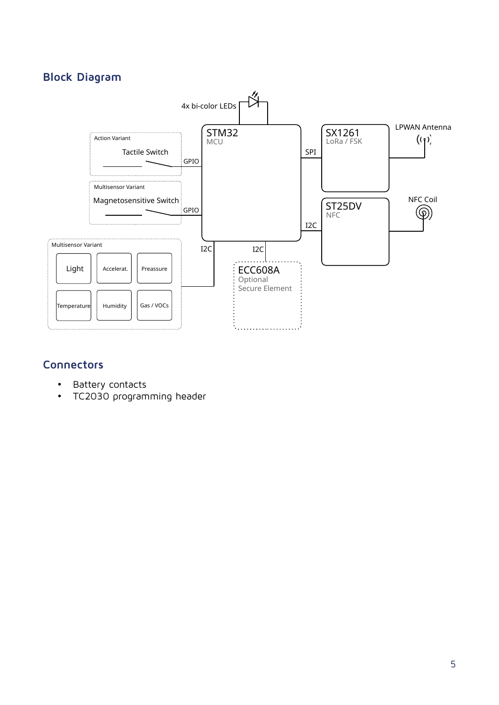# **Block Diagram**



# **Connectors**

- Battery contacts
- TC2030 programming header